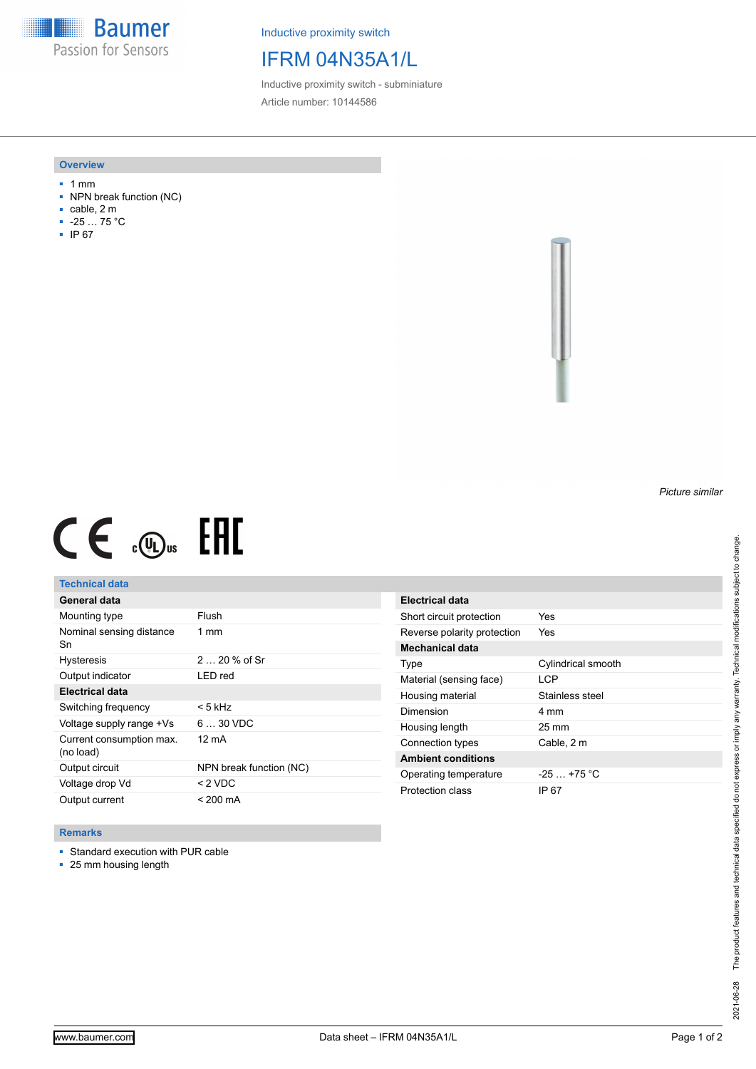**Baumer** Passion for Sensors

Inductive proximity switch

# IFRM 04N35A1/L

Inductive proximity switch - subminiature Article number: 10144586

### **Overview**

- 1 mm
- NPN break function (NC)
- cable, 2 m
- -25 … 75 °C
- IP 67



# $CE \mathcal{L}$  (Dus FRE

## **Technical data**

| General data                          |                         |
|---------------------------------------|-------------------------|
| Mounting type                         | Flush                   |
| Nominal sensing distance<br>Sn        | $1 \text{ mm}$          |
| <b>Hysteresis</b>                     | $220%$ of Sr            |
| Output indicator                      | LED red                 |
| Electrical data                       |                         |
| Switching frequency                   | < 5 kHz                 |
| Voltage supply range +Vs              | $630$ VDC               |
| Current consumption max.<br>(no load) | 12 mA                   |
| Output circuit                        | NPN break function (NC) |
| Voltage drop Vd                       | $<$ 2 VDC               |
| Output current                        | < 200 mA                |

| Electrical data             |                    |
|-----------------------------|--------------------|
| Short circuit protection    | Yes                |
| Reverse polarity protection | Yes                |
| Mechanical data             |                    |
| Type                        | Cylindrical smooth |
| Material (sensing face)     | I CP               |
| Housing material            | Stainless steel    |
| Dimension                   | 4 mm               |
| Housing length              | $25 \text{ mm}$    |
| Connection types            | Cable, 2 m         |
| <b>Ambient conditions</b>   |                    |
| Operating temperature       | $-25$ $+75$ °C     |
| Protection class            | IP 67              |

### **Remarks**

■ Standard execution with PUR cable

■ 25 mm housing length

*Picture similar*